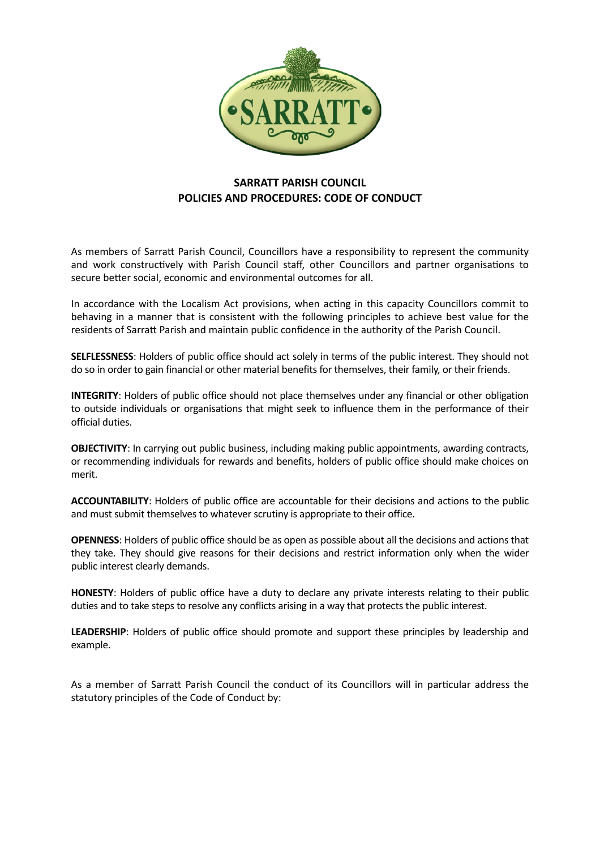

# **SARRATT PARISH COUNCIL POLICIES AND PROCEDURES: CODE OF CONDUCT**

As members of Sarratt Parish Council, Councillors have a responsibility to represent the community and work constructively with Parish Council staff, other Councillors and partner organisations to secure better social, economic and environmental outcomes for all.

In accordance with the Localism Act provisions, when acting in this capacity Councillors commit to behaving in a manner that is consistent with the following principles to achieve best value for the residents of Sarratt Parish and maintain public confidence in the authority of the Parish Council.

**SELFLESSNESS**: Holders of public office should act solely in terms of the public interest. They should not do so in order to gain financial or other material benefits for themselves, their family, or their friends.

**INTEGRITY**: Holders of public office should not place themselves under any financial or other obligation to outside individuals or organisations that might seek to influence them in the performance of their official duties.

**OBJECTIVITY**: In carrying out public business, including making public appointments, awarding contracts, or recommending individuals for rewards and benefits, holders of public office should make choices on merit.

**ACCOUNTABILITY**: Holders of public office are accountable for their decisions and actions to the public and must submit themselves to whatever scrutiny is appropriate to their office.

**OPENNESS**: Holders of public office should be as open as possible about all the decisions and actions that they take. They should give reasons for their decisions and restrict information only when the wider public interest clearly demands.

**HONESTY**: Holders of public office have a duty to declare any private interests relating to their public duties and to take steps to resolve any conflicts arising in a way that protects the public interest.

**LEADERSHIP**: Holders of public office should promote and support these principles by leadership and example.

As a member of Sarratt Parish Council the conduct of its Councillors will in particular address the statutory principles of the Code of Conduct by: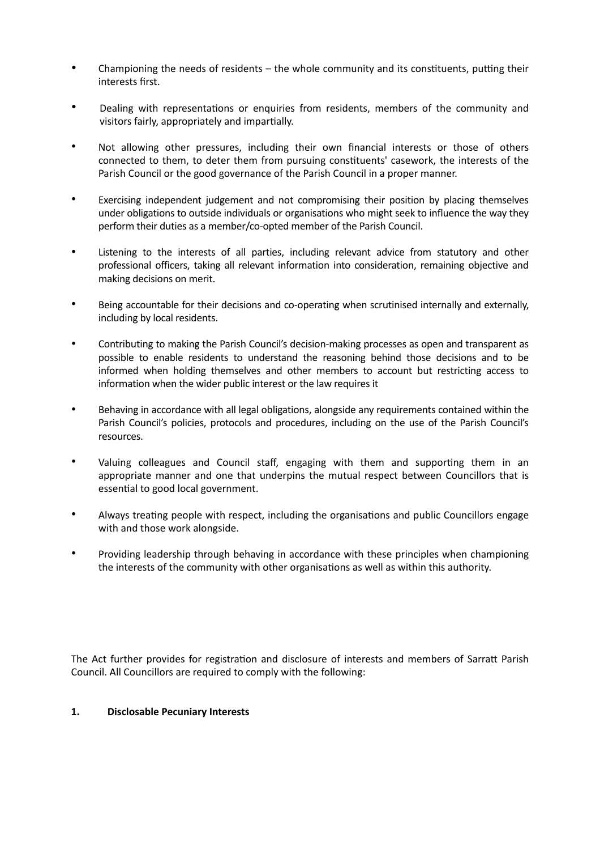- Championing the needs of residents the whole community and its constituents, putting their interests first.
- Dealing with representations or enquiries from residents, members of the community and visitors fairly, appropriately and impartially.
- Not allowing other pressures, including their own financial interests or those of others connected to them, to deter them from pursuing constituents' casework, the interests of the Parish Council or the good governance of the Parish Council in a proper manner.
- Exercising independent judgement and not compromising their position by placing themselves under obligations to outside individuals or organisations who might seek to influence the way they perform their duties as a member/co-opted member of the Parish Council.
- Listening to the interests of all parties, including relevant advice from statutory and other professional officers, taking all relevant information into consideration, remaining objective and making decisions on merit.
- Being accountable for their decisions and co-operating when scrutinised internally and externally, including by local residents.
- Contributing to making the Parish Council's decision-making processes as open and transparent as possible to enable residents to understand the reasoning behind those decisions and to be informed when holding themselves and other members to account but restricting access to information when the wider public interest or the law requires it
- Behaving in accordance with all legal obligations, alongside any requirements contained within the Parish Council's policies, protocols and procedures, including on the use of the Parish Council's resources.
- Valuing colleagues and Council staff, engaging with them and supporting them in an appropriate manner and one that underpins the mutual respect between Councillors that is essential to good local government.
- Always treating people with respect, including the organisations and public Councillors engage with and those work alongside.
- Providing leadership through behaving in accordance with these principles when championing the interests of the community with other organisations as well as within this authority.

The Act further provides for registration and disclosure of interests and members of Sarratt Parish Council. All Councillors are required to comply with the following:

#### **1. Disclosable Pecuniary Interests**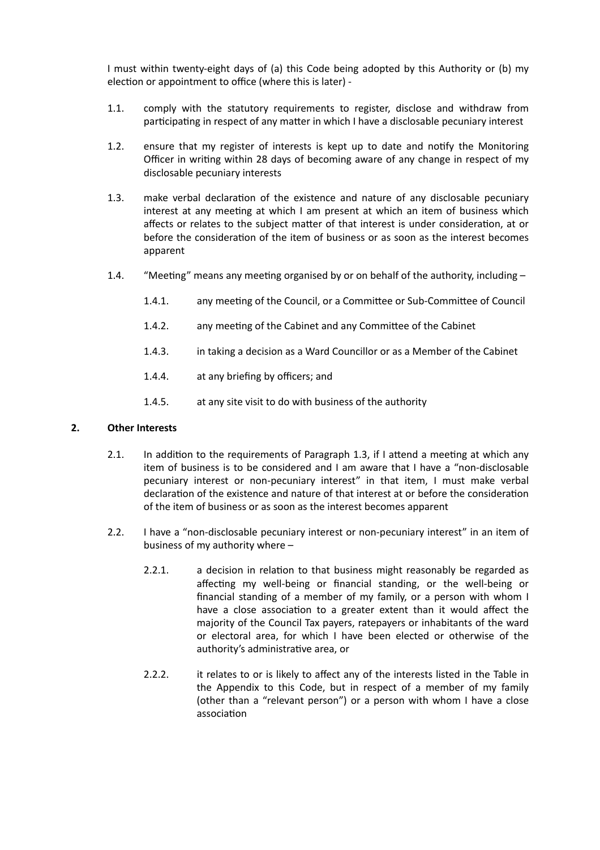I must within twenty-eight days of (a) this Code being adopted by this Authority or (b) my election or appointment to office (where this is later) -

- 1.1. comply with the statutory requirements to register, disclose and withdraw from participating in respect of any matter in which I have a disclosable pecuniary interest
- 1.2. ensure that my register of interests is kept up to date and notify the Monitoring Officer in writing within 28 days of becoming aware of any change in respect of my disclosable pecuniary interests
- 1.3. make verbal declaration of the existence and nature of any disclosable pecuniary interest at any meeting at which I am present at which an item of business which affects or relates to the subject matter of that interest is under consideration, at or before the consideration of the item of business or as soon as the interest becomes apparent
- 1.4. "Meeting" means any meeting organised by or on behalf of the authority, including
	- 1.4.1. any meeting of the Council, or a Committee or Sub-Committee of Council
	- 1.4.2. any meeting of the Cabinet and any Committee of the Cabinet
	- 1.4.3. in taking a decision as a Ward Councillor or as a Member of the Cabinet
	- 1.4.4. at any briefing by officers; and
	- 1.4.5. at any site visit to do with business of the authority

#### **2. Other Interests**

- 2.1. In addition to the requirements of Paragraph 1.3, if I attend a meeting at which any item of business is to be considered and I am aware that I have a "non-disclosable pecuniary interest or non-pecuniary interest" in that item, I must make verbal declaration of the existence and nature of that interest at or before the consideration of the item of business or as soon as the interest becomes apparent
- 2.2. I have a "non-disclosable pecuniary interest or non-pecuniary interest" in an item of business of my authority where –
	- 2.2.1. a decision in relation to that business might reasonably be regarded as affecting my well-being or financial standing, or the well-being or financial standing of a member of my family, or a person with whom I have a close association to a greater extent than it would affect the majority of the Council Tax payers, ratepayers or inhabitants of the ward or electoral area, for which I have been elected or otherwise of the authority's administrative area, or
	- 2.2.2. it relates to or is likely to affect any of the interests listed in the Table in the Appendix to this Code, but in respect of a member of my family (other than a "relevant person") or a person with whom I have a close association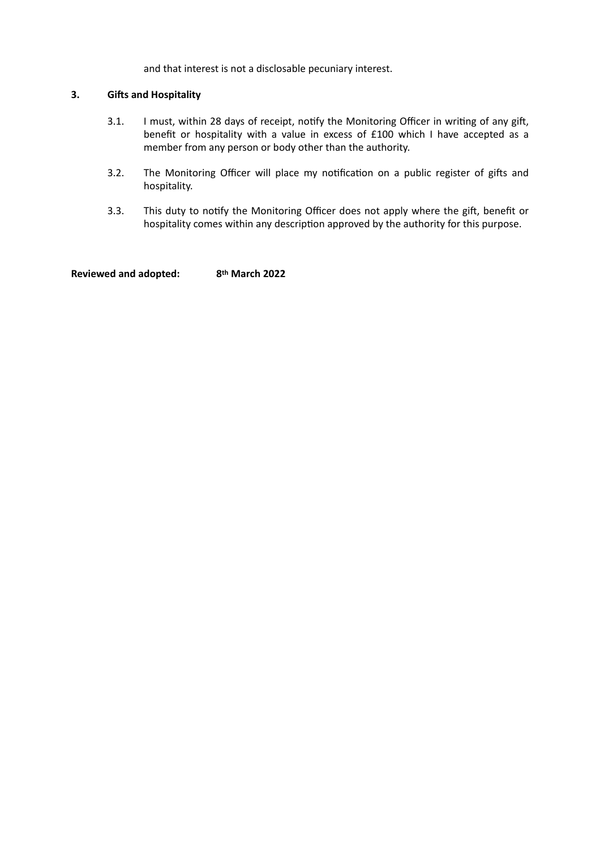and that interest is not a disclosable pecuniary interest.

## **3. Gifts and Hospitality**

- 3.1. I must, within 28 days of receipt, notify the Monitoring Officer in writing of any gift, benefit or hospitality with a value in excess of £100 which I have accepted as a member from any person or body other than the authority.
- 3.2. The Monitoring Officer will place my notification on a public register of gifts and hospitality.
- 3.3. This duty to notify the Monitoring Officer does not apply where the gift, benefit or hospitality comes within any description approved by the authority for this purpose.

**Reviewed and adopted: 8th March 2022**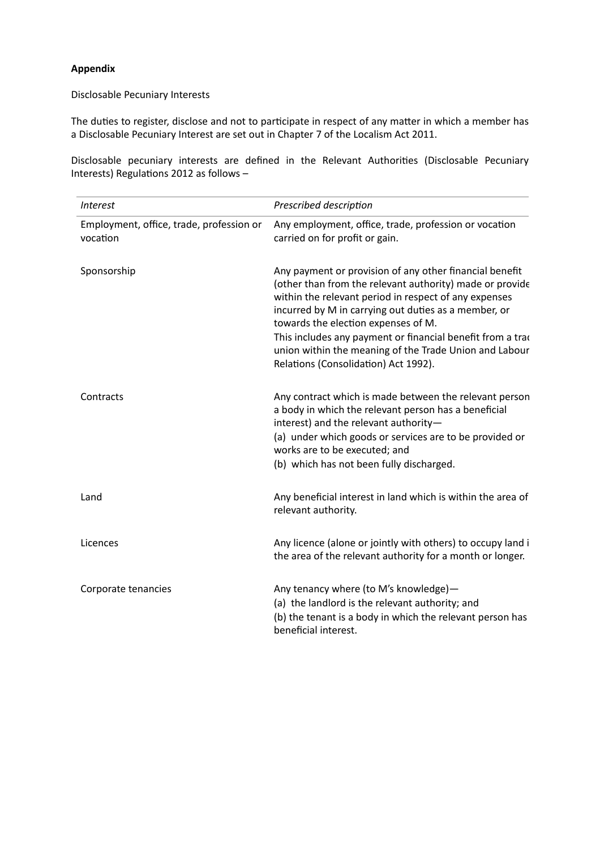### **Appendix**

## Disclosable Pecuniary Interests

The duties to register, disclose and not to participate in respect of any matter in which a member has a Disclosable Pecuniary Interest are set out in Chapter 7 of the Localism Act 2011.

Disclosable pecuniary interests are defined in the Relevant Authorities (Disclosable Pecuniary Interests) Regulations 2012 as follows –

| <i>Interest</i>                                      | Prescribed description                                                                                                                                                                                                                                                                                                                                                                                                                      |
|------------------------------------------------------|---------------------------------------------------------------------------------------------------------------------------------------------------------------------------------------------------------------------------------------------------------------------------------------------------------------------------------------------------------------------------------------------------------------------------------------------|
| Employment, office, trade, profession or<br>vocation | Any employment, office, trade, profession or vocation<br>carried on for profit or gain.                                                                                                                                                                                                                                                                                                                                                     |
| Sponsorship                                          | Any payment or provision of any other financial benefit<br>(other than from the relevant authority) made or provide<br>within the relevant period in respect of any expenses<br>incurred by M in carrying out duties as a member, or<br>towards the election expenses of M.<br>This includes any payment or financial benefit from a trad<br>union within the meaning of the Trade Union and Labour<br>Relations (Consolidation) Act 1992). |
| Contracts                                            | Any contract which is made between the relevant person<br>a body in which the relevant person has a beneficial<br>interest) and the relevant authority-<br>(a) under which goods or services are to be provided or<br>works are to be executed; and<br>(b) which has not been fully discharged.                                                                                                                                             |
| Land                                                 | Any beneficial interest in land which is within the area of<br>relevant authority.                                                                                                                                                                                                                                                                                                                                                          |
| Licences                                             | Any licence (alone or jointly with others) to occupy land i<br>the area of the relevant authority for a month or longer.                                                                                                                                                                                                                                                                                                                    |
| Corporate tenancies                                  | Any tenancy where (to M's knowledge)-<br>(a) the landlord is the relevant authority; and<br>(b) the tenant is a body in which the relevant person has<br>beneficial interest.                                                                                                                                                                                                                                                               |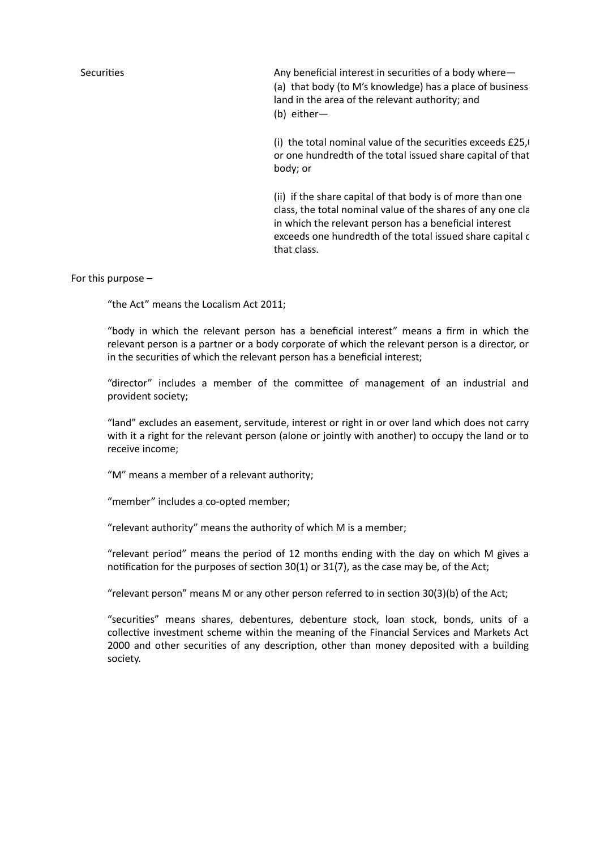Securities Any beneficial interest in securities of a body where— (a) that body (to M's knowledge) has a place of business land in the area of the relevant authority; and (b) either—

(i) the total nominal value of the securities exceeds  $£25$ , or one hundredth of the total issued share capital of that body; or

(ii) if the share capital of that body is of more than one class, the total nominal value of the shares of any one cla in which the relevant person has a beneficial interest exceeds one hundredth of the total issued share capital c that class.

For this purpose –

"the Act" means the Localism Act 2011;

"body in which the relevant person has a beneficial interest" means a firm in which the relevant person is a partner or a body corporate of which the relevant person is a director, or in the securities of which the relevant person has a beneficial interest;

"director" includes a member of the committee of management of an industrial and provident society;

"land" excludes an easement, servitude, interest or right in or over land which does not carry with it a right for the relevant person (alone or jointly with another) to occupy the land or to receive income;

"M" means a member of a relevant authority;

"member" includes a co-opted member;

"relevant authority" means the authority of which M is a member;

"relevant period" means the period of 12 months ending with the day on which M gives a notification for the purposes of section 30(1) or 31(7), as the case may be, of the Act;

"relevant person" means M or any other person referred to in section 30(3)(b) of the Act;

"securities" means shares, debentures, debenture stock, loan stock, bonds, units of a collective investment scheme within the meaning of the Financial Services and Markets Act 2000 and other securities of any description, other than money deposited with a building society.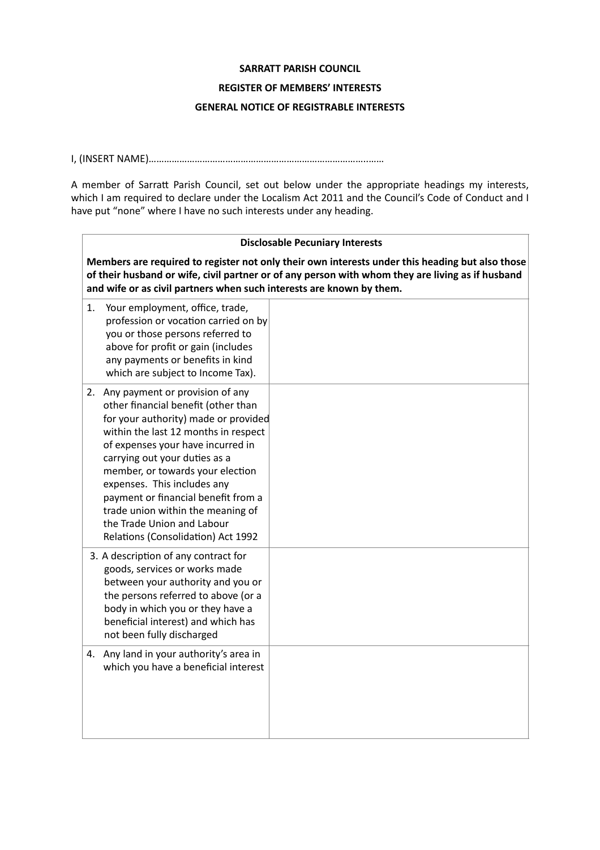#### **SARRATT PARISH COUNCIL**

### **REGISTER OF MEMBERS' INTERESTS**

## **GENERAL NOTICE OF REGISTRABLE INTERESTS**

## I, (INSERT NAME)…………………………………………………………………………..……

A member of Sarratt Parish Council, set out below under the appropriate headings my interests, which I am required to declare under the Localism Act 2011 and the Council's Code of Conduct and I have put "none" where I have no such interests under any heading.

| <b>Disclosable Pecuniary Interests</b>                                                                                                                                                                                                                                                                                                                                                                                                             |  |  |  |  |
|----------------------------------------------------------------------------------------------------------------------------------------------------------------------------------------------------------------------------------------------------------------------------------------------------------------------------------------------------------------------------------------------------------------------------------------------------|--|--|--|--|
| Members are required to register not only their own interests under this heading but also those<br>of their husband or wife, civil partner or of any person with whom they are living as if husband<br>and wife or as civil partners when such interests are known by them.                                                                                                                                                                        |  |  |  |  |
| Your employment, office, trade,<br>1.<br>profession or vocation carried on by<br>you or those persons referred to<br>above for profit or gain (includes<br>any payments or benefits in kind<br>which are subject to Income Tax).                                                                                                                                                                                                                   |  |  |  |  |
| 2. Any payment or provision of any<br>other financial benefit (other than<br>for your authority) made or provided<br>within the last 12 months in respect<br>of expenses your have incurred in<br>carrying out your duties as a<br>member, or towards your election<br>expenses. This includes any<br>payment or financial benefit from a<br>trade union within the meaning of<br>the Trade Union and Labour<br>Relations (Consolidation) Act 1992 |  |  |  |  |
| 3. A description of any contract for<br>goods, services or works made<br>between your authority and you or<br>the persons referred to above (or a<br>body in which you or they have a<br>beneficial interest) and which has<br>not been fully discharged                                                                                                                                                                                           |  |  |  |  |
| 4. Any land in your authority's area in<br>which you have a beneficial interest                                                                                                                                                                                                                                                                                                                                                                    |  |  |  |  |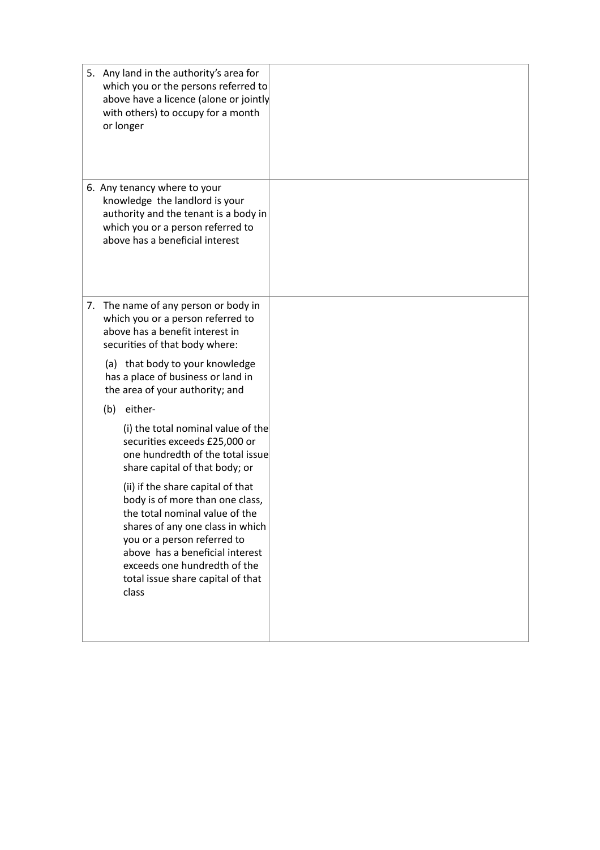| 5. Any land in the authority's area for<br>which you or the persons referred to<br>above have a licence (alone or jointly<br>with others) to occupy for a month<br>or longer                                                                                                               |  |
|--------------------------------------------------------------------------------------------------------------------------------------------------------------------------------------------------------------------------------------------------------------------------------------------|--|
| 6. Any tenancy where to your<br>knowledge the landlord is your<br>authority and the tenant is a body in<br>which you or a person referred to<br>above has a beneficial interest                                                                                                            |  |
| 7. The name of any person or body in<br>which you or a person referred to<br>above has a benefit interest in<br>securities of that body where:                                                                                                                                             |  |
| (a) that body to your knowledge<br>has a place of business or land in<br>the area of your authority; and                                                                                                                                                                                   |  |
| (b) either-                                                                                                                                                                                                                                                                                |  |
| (i) the total nominal value of the<br>securities exceeds £25,000 or<br>one hundredth of the total issue<br>share capital of that body; or                                                                                                                                                  |  |
| (ii) if the share capital of that<br>body is of more than one class,<br>the total nominal value of the<br>shares of any one class in which<br>you or a person referred to<br>above has a beneficial interest<br>exceeds one hundredth of the<br>total issue share capital of that<br>class |  |
|                                                                                                                                                                                                                                                                                            |  |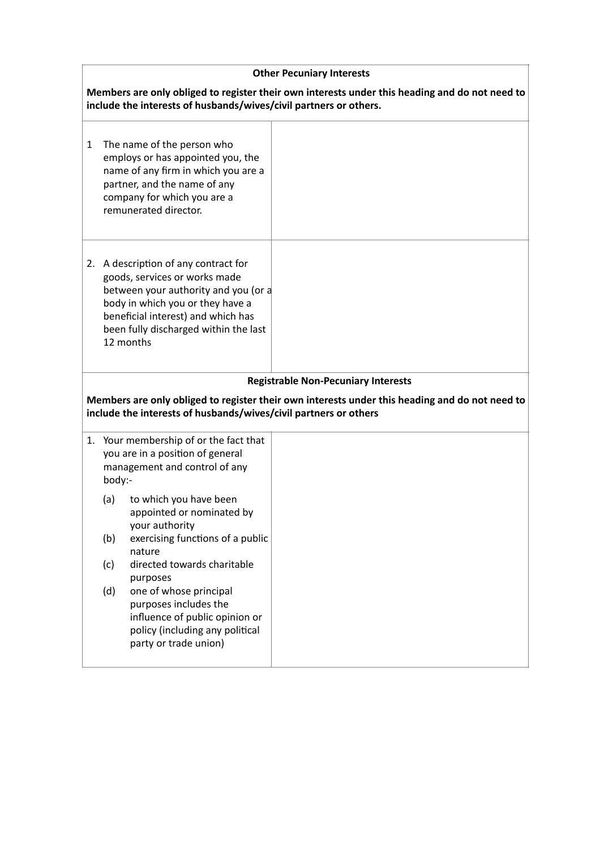| <b>Other Pecuniary Interests</b>                                                                                                                                    |        |                                                                                                                                                                                                                                               |                                            |  |
|---------------------------------------------------------------------------------------------------------------------------------------------------------------------|--------|-----------------------------------------------------------------------------------------------------------------------------------------------------------------------------------------------------------------------------------------------|--------------------------------------------|--|
| Members are only obliged to register their own interests under this heading and do not need to<br>include the interests of husbands/wives/civil partners or others. |        |                                                                                                                                                                                                                                               |                                            |  |
| 1                                                                                                                                                                   |        | The name of the person who<br>employs or has appointed you, the<br>name of any firm in which you are a<br>partner, and the name of any<br>company for which you are a<br>remunerated director.                                                |                                            |  |
|                                                                                                                                                                     |        | 2. A description of any contract for<br>goods, services or works made<br>between your authority and you (or a<br>body in which you or they have a<br>beneficial interest) and which has<br>been fully discharged within the last<br>12 months |                                            |  |
|                                                                                                                                                                     |        |                                                                                                                                                                                                                                               | <b>Registrable Non-Pecuniary Interests</b> |  |
| Members are only obliged to register their own interests under this heading and do not need to<br>include the interests of husbands/wives/civil partners or others  |        |                                                                                                                                                                                                                                               |                                            |  |
|                                                                                                                                                                     | body:- | 1. Your membership of or the fact that<br>you are in a position of general<br>management and control of any                                                                                                                                   |                                            |  |
|                                                                                                                                                                     | (a)    | to which you have been<br>appointed or nominated by<br>your authority                                                                                                                                                                         |                                            |  |
|                                                                                                                                                                     | (b)    | exercising functions of a public<br>nature                                                                                                                                                                                                    |                                            |  |
|                                                                                                                                                                     | (c)    | directed towards charitable<br>purposes                                                                                                                                                                                                       |                                            |  |
|                                                                                                                                                                     | (d)    | one of whose principal<br>purposes includes the<br>influence of public opinion or<br>policy (including any political<br>party or trade union)                                                                                                 |                                            |  |